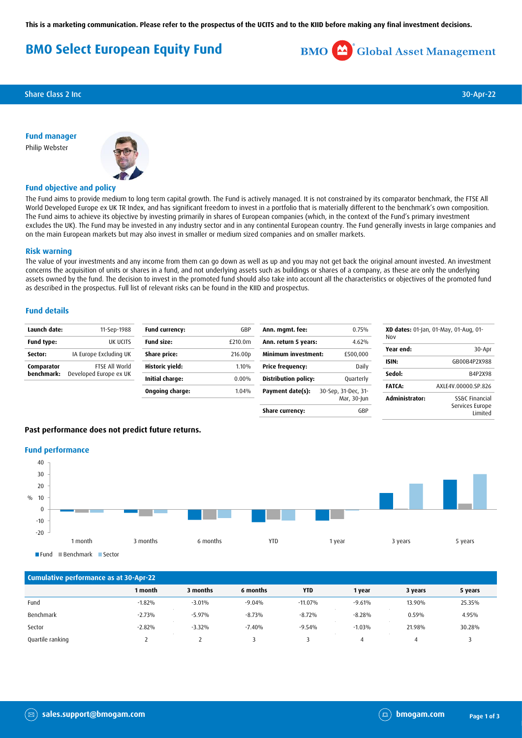**This is a marketing communication. Please refer to the prospectus of the UCITS and to the KIID before making any final investment decisions.**

# **BMO Select European Equity Fund**



Share Class 2 Inc 30-Apr-22

**Fund manager** Philip Webster



## **Fund objective and policy**

The Fund aims to provide medium to long term capital growth. The Fund is actively managed. It is not constrained by its comparator benchmark, the FTSE All World Developed Europe ex UK TR Index, and has significant freedom to invest in a portfolio that is materially different to the benchmark's own composition. The Fund aims to achieve its objective by investing primarily in shares of European companies (which, in the context of the Fund's primary investment excludes the UK). The Fund may be invested in any industry sector and in any continental European country. The Fund generally invests in large companies and on the main European markets but may also invest in smaller or medium sized companies and on smaller markets.

#### **Risk warning**

The value of your investments and any income from them can go down as well as up and you may not get back the original amount invested. An investment concerns the acquisition of units or shares in a fund, and not underlying assets such as buildings or shares of a company, as these are only the underlying assets owned by the fund. The decision to invest in the promoted fund should also take into account all the characteristics or objectives of the promoted fund as described in the prospectus. Full list of relevant risks can be found in the KIID and prospectus.

# **Fund details**

| Launch date:             | 11-Sep-1988                              | <b>Fund currency:</b> | GBP      | Ann. mgmt. fee:             | 0.75%               | XD dates: 01-Jan, 01-May, 01-Aug, 01- |                            |
|--------------------------|------------------------------------------|-----------------------|----------|-----------------------------|---------------------|---------------------------------------|----------------------------|
| Fund type:               | UK UCITS                                 | <b>Fund size:</b>     | £210.0m  | Ann. return 5 years:        | 4.62%               | Nov                                   |                            |
| Sector:                  | IA Europe Excluding UK                   | Share price:          | 216.00p  | <b>Minimum investment:</b>  | £500,000            | Year end:                             | 30-Apr                     |
| Comparator<br>benchmark: | FTSE All World<br>Developed Europe ex UK | Historic yield:       | 1.10%    | Price frequency:            | Daily               | ISIN:                                 | GB00B4P2X988               |
|                          |                                          | Initial charge:       | $0.00\%$ | <b>Distribution policy:</b> | Quarterly           | Sedol:                                | B4P2X98                    |
|                          |                                          | Ongoing charge:       | 1.04%    | Payment date(s):            | 30-Sep, 31-Dec, 31- | <b>FATCA:</b>                         | AXLE4V.00000.SP.826        |
|                          |                                          |                       |          |                             | Mar, 30-Jun         | <b>Administrator:</b>                 | SS&C Financial             |
|                          |                                          |                       |          | Share currency:             | GBP                 |                                       | Services Europe<br>Limited |

# **Past performance does not predict future returns.**

#### **Fund performance**



# **Cumulative performance as at 30-Apr-22 1 month 3 months 6 months YTD 1 year 3 years 5 years** Fund -1.82% -3.01% -9.04% -11.07% -9.61% 13.90% 25.35% Benchmark -2.73% -5.97% -8.73% -8.72% -8.28% 0.59% 4.95% Sector -2.82% -3.32% -7.40% -9.54% -1.03% 21.98% 30.28% Quartile ranking 2 2 3 3 4 4 3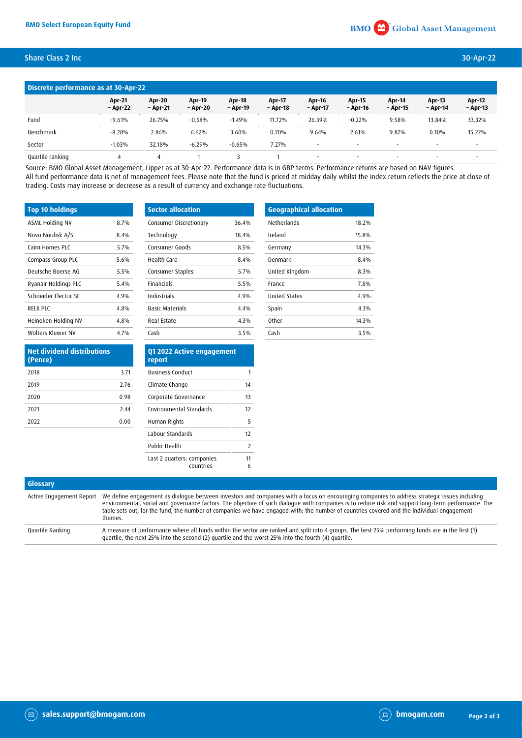# Share Class 2 Inc 30-Apr-22

| Discrete performance as at 30-Apr-22 |                           |                           |                    |                           |                    |                           |                          |                          |                           |                           |
|--------------------------------------|---------------------------|---------------------------|--------------------|---------------------------|--------------------|---------------------------|--------------------------|--------------------------|---------------------------|---------------------------|
|                                      | <b>Apr-21</b><br>- Apr-22 | <b>Apr-20</b><br>– Apr-21 | Apr-19<br>– Apr-20 | <b>Apr-18</b><br>- Apr-19 | Apr-17<br>- Apr-18 | <b>Apr-16</b><br>- Apr-17 | Apr-15<br>- Apr-16       | Apr-14<br>- Apr-15       | <b>Apr-13</b><br>- Apr-14 | <b>Apr-12</b><br>- Apr-13 |
| Fund                                 | $-9.61%$                  | 26.75%                    | $-0.58%$           | $-1.49%$                  | 11.72%             | 26.39%                    | $-0.22%$                 | 9.58%                    | 13.84%                    | 33.32%                    |
| Benchmark                            | $-8.28%$                  | 2.86%                     | 6.62%              | 3.60%                     | 0.70%              | 9.64%                     | 2.61%                    | 9.87%                    | 0.10%                     | 15.22%                    |
| Sector                               | $-1.03%$                  | 32.18%                    | $-6.29%$           | $-0.65%$                  | 7.27%              | $\overline{\phantom{a}}$  | $\overline{\phantom{a}}$ | $\overline{\phantom{a}}$ |                           | $\sim$                    |
| Quartile ranking                     |                           |                           |                    |                           |                    | ۰                         | $\overline{\phantom{a}}$ | ٠                        |                           |                           |

Source: BMO Global Asset Management, Lipper as at 30-Apr-22. Performance data is in GBP terms. Performance returns are based on NAV figures. All fund performance data is net of management fees. Please note that the fund is priced at midday daily whilst the index return reflects the price at close of trading. Costs may increase or decrease as a result of currency and exchange rate fluctuations.

| <b>Top 10 holdings</b> |      | Sect  |
|------------------------|------|-------|
| ASML Holding NV        | 8.7% | Cons  |
| Novo Nordisk A/S       | 8.4% | Tech  |
| Cairn Homes PLC        | 5.7% | Cons  |
| Compass Group PLC      | 5.6% | Heal  |
| Deutsche Boerse AG     | 5.5% | Cons  |
| Ryanair Holdings PLC   | 5.4% | Finar |
| Schneider Electric SE  | 4.9% | Indu  |
| RELX PLC               | 4.8% | Basio |
| Heineken Holding NV    | 4.8% | Real  |
| Wolters Kluwer NV      | 4.7% | Cash  |

| <b>Sector allocation</b> |       |
|--------------------------|-------|
| Consumer Discretionary   | 36.4% |
| Technology               | 18.4% |
| Consumer Goods           | 8.5%  |
| Health Care              | 8.4%  |
| Consumer Staples         | 5 7%  |
| <b>Financials</b>        | 5.5%  |
| Industrials              | 4.9%  |
| <b>Basic Materials</b>   | 4.4%  |
| <b>Real Estate</b>       | 4.3%  |
| Cash                     | 3.5%  |

| <b>Geographical allocation</b> |       |
|--------------------------------|-------|
| Netherlands                    | 18.2% |
| Ireland                        | 15.8% |
| Germany                        | 14.3% |
| Denmark                        | 84%   |
| United Kingdom                 | 8.3%  |
| France                         | 7.8%  |
| <b>United States</b>           | 4.9%  |
| Spain                          | 4.3%  |
| 0ther                          | 14.3% |
| Cash                           | 3.5%  |
|                                |       |

| <b>Net dividend distributions</b><br>(Pence) |      |
|----------------------------------------------|------|
| 2018                                         | 3.71 |
| 2019                                         | 2.76 |
| 2020                                         | 0.98 |
| 2021                                         | 2.44 |
| 2022                                         | 0.00 |
|                                              |      |

| Q1 2022 Active engagement<br>report |    |
|-------------------------------------|----|
| <b>Business Conduct</b>             |    |
| Climate Change                      | 14 |
| Corporate Governance                | 13 |
| <b>Environmental Standards</b>      | 17 |
| Human Rights                        | 5  |
| Labour Standards                    | 17 |
| Public Health                       | 2  |
| Last 2 quarters: companies          | 11 |
| countries                           | 6  |

| Glossary         |                                                                                                                                                                                                                                                                                                                                                                                                                                                                                       |
|------------------|---------------------------------------------------------------------------------------------------------------------------------------------------------------------------------------------------------------------------------------------------------------------------------------------------------------------------------------------------------------------------------------------------------------------------------------------------------------------------------------|
|                  | Active Engagement Report We define engagement as dialogue between investors and companies with a focus on encouraging companies to address strategic issues including<br>environmental, social and governance factors. The objective of such dialogue with companies is to reduce risk and support long-term performance. The<br>table sets out, for the fund, the number of companies we have engaged with; the number of countries covered and the individual engagement<br>themes. |
| Quartile Ranking | A measure of performance where all funds within the sector are ranked and split into 4 groups. The best 25% performing funds are in the first (1)<br>quartile, the next 25% into the second (2) quartile and the worst 25% into the fourth (4) quartile.                                                                                                                                                                                                                              |